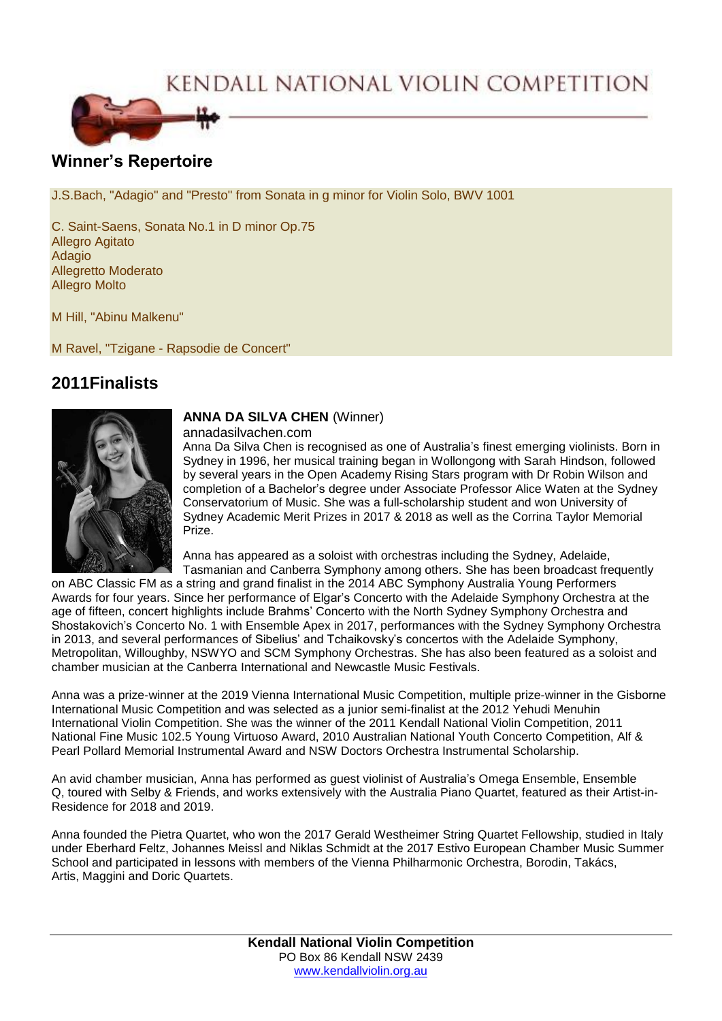# KENDALL NATIONAL VIOLIN COMPETITION



### **Winner's Repertoire**

J.S.Bach, "Adagio" and "Presto" from Sonata in g minor for Violin Solo, BWV 1001

C. Saint-Saens, Sonata No.1 in D minor Op.75 Allegro Agitato Adagio Allegretto Moderato Allegro Molto

M Hill, "Abinu Malkenu"

M Ravel, "Tzigane - Rapsodie de Concert"

## **2011Finalists**



#### **ANNA DA SILVA CHEN** (Winner)

annadasilvachen.com

Anna Da Silva Chen is recognised as one of Australia's finest emerging violinists. Born in Sydney in 1996, her musical training began in Wollongong with Sarah Hindson, followed by several years in the Open Academy Rising Stars program with Dr Robin Wilson and completion of a Bachelor's degree under Associate Professor Alice Waten at the Sydney Conservatorium of Music. She was a full-scholarship student and won University of Sydney Academic Merit Prizes in 2017 & 2018 as well as the Corrina Taylor Memorial Prize.

Anna has appeared as a soloist with orchestras including the Sydney, Adelaide, Tasmanian and Canberra Symphony among others. She has been broadcast frequently

on ABC Classic FM as a string and grand finalist in the 2014 ABC Symphony Australia Young Performers Awards for four years. Since her performance of Elgar's Concerto with the Adelaide Symphony Orchestra at the age of fifteen, concert highlights include Brahms' Concerto with the North Sydney Symphony Orchestra and Shostakovich's Concerto No. 1 with Ensemble Apex in 2017, performances with the Sydney Symphony Orchestra in 2013, and several performances of Sibelius' and Tchaikovsky's concertos with the Adelaide Symphony, Metropolitan, Willoughby, NSWYO and SCM Symphony Orchestras. She has also been featured as a soloist and chamber musician at the Canberra International and Newcastle Music Festivals.

Anna was a prize-winner at the 2019 Vienna International Music Competition, multiple prize-winner in the Gisborne International Music Competition and was selected as a junior semi-finalist at the 2012 Yehudi Menuhin International Violin Competition. She was the winner of the 2011 Kendall National Violin Competition, 2011 National Fine Music 102.5 Young Virtuoso Award, 2010 Australian National Youth Concerto Competition, Alf & Pearl Pollard Memorial Instrumental Award and NSW Doctors Orchestra Instrumental Scholarship.

An avid chamber musician, Anna has performed as guest violinist of Australia's Omega Ensemble, Ensemble Q, toured with Selby & Friends, and works extensively with the Australia Piano Quartet, featured as their Artist-in-Residence for 2018 and 2019.

Anna founded the Pietra Quartet, who won the 2017 Gerald Westheimer String Quartet Fellowship, studied in Italy under Eberhard Feltz, Johannes Meissl and Niklas Schmidt at the 2017 Estivo European Chamber Music Summer School and participated in lessons with members of the Vienna Philharmonic Orchestra, Borodin, Takács, Artis, Maggini and Doric Quartets.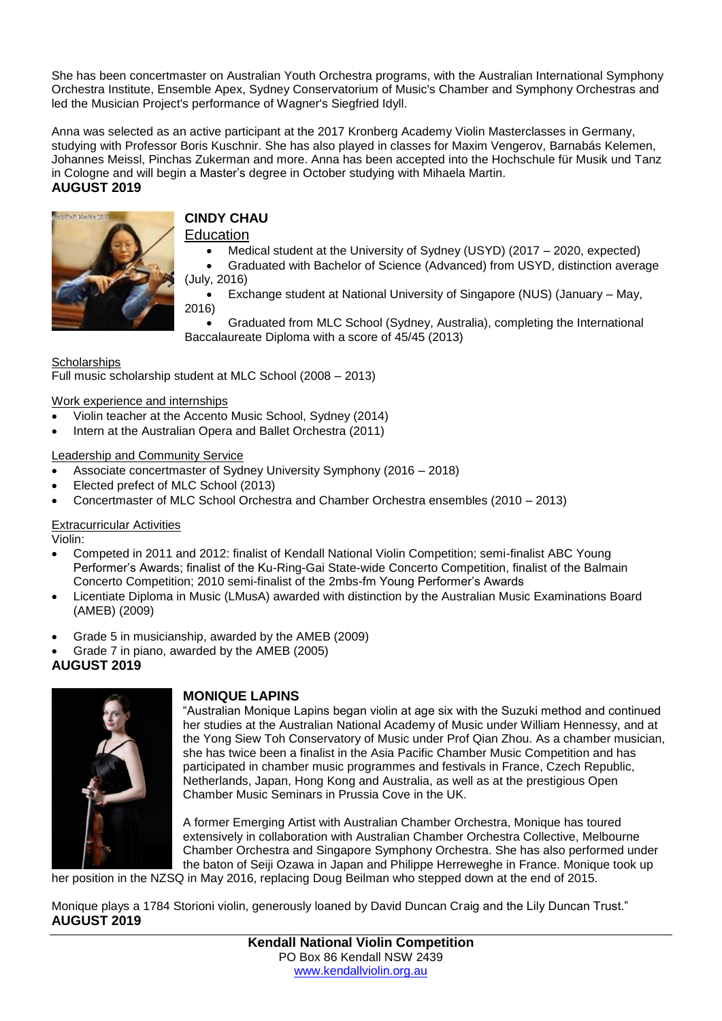She has been concertmaster on Australian Youth Orchestra programs, with the Australian International Symphony Orchestra Institute, Ensemble Apex, Sydney Conservatorium of Music's Chamber and Symphony Orchestras and led the Musician Project's performance of Wagner's Siegfried Idyll.

Anna was selected as an active participant at the 2017 Kronberg Academy Violin Masterclasses in Germany, studying with Professor Boris Kuschnir. She has also played in classes for Maxim Vengerov, Barnabás Kelemen, Johannes Meissl, Pinchas Zukerman and more. Anna has been accepted into the Hochschule für Musik und Tanz in Cologne and will begin a Master's degree in October studying with Mihaela Martin.

#### **AUGUST 2019**



# **CINDY CHAU**

**Education** 

- Medical student at the University of Sydney (USYD) (2017 2020, expected)
- Graduated with Bachelor of Science (Advanced) from USYD, distinction average (July, 2016)
- Exchange student at National University of Singapore (NUS) (January May, 2016)

 Graduated from MLC School (Sydney, Australia), completing the International Baccalaureate Diploma with a score of 45/45 (2013)

**Scholarships** Full music scholarship student at MLC School (2008 – 2013)

Work experience and internships

- Violin teacher at the Accento Music School, Sydney (2014)
- Intern at the Australian Opera and Ballet Orchestra (2011)

#### Leadership and Community Service

- Associate concertmaster of Sydney University Symphony (2016 2018)
- Elected prefect of MLC School (2013)
- Concertmaster of MLC School Orchestra and Chamber Orchestra ensembles (2010 2013)

#### Extracurricular Activities

Violin:

- Competed in 2011 and 2012: finalist of Kendall National Violin Competition; semi-finalist ABC Young Performer's Awards; finalist of the Ku-Ring-Gai State-wide Concerto Competition, finalist of the Balmain Concerto Competition; 2010 semi-finalist of the 2mbs-fm Young Performer's Awards
- Licentiate Diploma in Music (LMusA) awarded with distinction by the Australian Music Examinations Board (AMEB) (2009)
- Grade 5 in musicianship, awarded by the AMEB (2009)
- Grade 7 in piano, awarded by the AMEB (2005)

#### **AUGUST 2019**



#### **MONIQUE LAPINS**

"Australian Monique Lapins began violin at age six with the Suzuki method and continued her studies at the Australian National Academy of Music under William Hennessy, and at the Yong Siew Toh Conservatory of Music under Prof Qian Zhou. As a chamber musician, she has twice been a finalist in the Asia Pacific Chamber Music Competition and has participated in chamber music programmes and festivals in France, Czech Republic, Netherlands, Japan, Hong Kong and Australia, as well as at the prestigious Open Chamber Music Seminars in Prussia Cove in the UK.

A former Emerging Artist with Australian Chamber Orchestra, Monique has toured extensively in collaboration with Australian Chamber Orchestra Collective, Melbourne Chamber Orchestra and Singapore Symphony Orchestra. She has also performed under the baton of Seiji Ozawa in Japan and Philippe Herreweghe in France. Monique took up

her position in the NZSQ in May 2016, replacing Doug Beilman who stepped down at the end of 2015.

Monique plays a 1784 Storioni violin, generously loaned by David Duncan Craig and the Lily Duncan Trust." **AUGUST 2019**